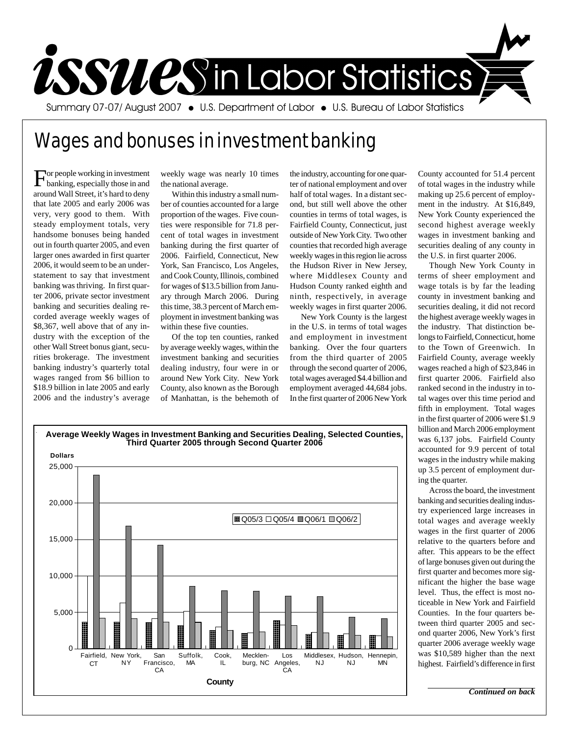

## Wages and bonuses in investment banking

**For people working in investment** banking, especially those in and around Wall Street, it's hard to deny that late 2005 and early 2006 was very, very good to them. With steady employment totals, very handsome bonuses being handed out in fourth quarter 2005, and even larger ones awarded in first quarter 2006, it would seem to be an understatement to say that investment banking was thriving. In first quarter 2006, private sector investment banking and securities dealing recorded average weekly wages of \$8,367, well above that of any industry with the exception of the other Wall Street bonus giant, securities brokerage. The investment banking industry's quarterly total wages ranged from \$6 billion to \$18.9 billion in late 2005 and early 2006 and the industry's average

weekly wage was nearly 10 times the national average.

Within this industry a small number of counties accounted for a large proportion of the wages. Five counties were responsible for 71.8 percent of total wages in investment banking during the first quarter of 2006. Fairfield, Connecticut, New York, San Francisco, Los Angeles, and Cook County, Illinois, combined for wages of \$13.5 billion from January through March 2006. During this time, 38.3 percent of March employment in investment banking was within these five counties.

Of the top ten counties, ranked by average weekly wages, within the investment banking and securities dealing industry, four were in or around New York City. New York County, also known as the Borough of Manhattan, is the behemoth of the industry, accounting for one quarter of national employment and over half of total wages. In a distant second, but still well above the other counties in terms of total wages, is Fairfield County, Connecticut, just outside of New York City. Two other counties that recorded high average weekly wages in this region lie across the Hudson River in New Jersey, where Middlesex County and Hudson County ranked eighth and ninth, respectively, in average weekly wages in first quarter 2006.

New York County is the largest in the U.S. in terms of total wages and employment in investment banking. Over the four quarters from the third quarter of 2005 through the second quarter of 2006, total wages averaged \$4.4 billion and employment averaged 44,684 jobs. In the first quarter of 2006 New York

County accounted for 51.4 percent of total wages in the industry while making up 25.6 percent of employment in the industry. At \$16,849, New York County experienced the second highest average weekly wages in investment banking and securities dealing of any county in the U.S. in first quarter 2006.

Though New York County in terms of sheer employment and wage totals is by far the leading county in investment banking and securities dealing, it did not record the highest average weekly wages in the industry. That distinction belongs to Fairfield, Connecticut, home to the Town of Greenwich. In Fairfield County, average weekly wages reached a high of \$23,846 in first quarter 2006. Fairfield also ranked second in the industry in total wages over this time period and fifth in employment. Total wages in the first quarter of 2006 were \$1.9 billion and March 2006 employment was 6,137 jobs. Fairfield County accounted for 9.9 percent of total wages in the industry while making up 3.5 percent of employment during the quarter.

Across the board, the investment banking and securities dealing industry experienced large increases in total wages and average weekly wages in the first quarter of 2006 relative to the quarters before and after. This appears to be the effect of large bonuses given out during the first quarter and becomes more significant the higher the base wage level. Thus, the effect is most noticeable in New York and Fairfield Counties. In the four quarters between third quarter 2005 and second quarter 2006, New York's first quarter 2006 average weekly wage was \$10,589 higher than the next highest. Fairfield's difference in first

**Average Weekly Wages in Investment Banking and Securities Dealing, Selected Counties, Third Quarter 2005 through Second Quarter 2006 Dollars**